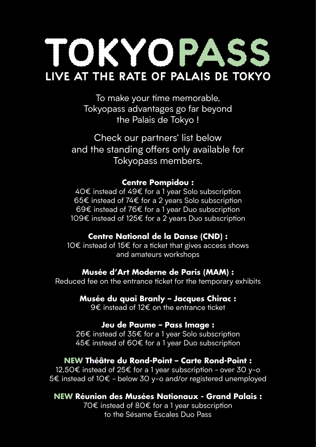# **TOKYOPA live at the rate of Palais de Tokyo**

To make your time memorable, Tokyopass advantages go far beyond the Palais de Tokyo !

Check our partners' list below and the standing offers only available for Tokyopass members.

#### **Centre Pompidou :**

40€ instead of 49€ for a 1 year Solo subscription 65€ instead of 74€ for a 2 years Solo subscription 69€ instead of 76€ for a 1 year Duo subscription 109€ instead of 125€ for a 2 years Duo subscription

### **Centre National de la Danse (CND) :**

10€ instead of 15€ for a ticket that gives access shows and amateurs workshops

### **Musée d'Art Moderne de Paris (MAM) :**

Reduced fee on the entrance ticket for the temporary exhibits

### **Musée du quai Branly – Jacques Chirac :**

9€ instead of 12€ on the entrance ticket

#### **Jeu de Paume – Pass Image :**

26€ instead of 35€ for a 1 year Solo subscription 45€ instead of 60€ for a 1 year Duo subscription

### **NEW Théâtre du Rond-Point – Carte Rond-Point :**

12,50€ instead of 25€ for a 1 year subscription - over 30 y-o 5€ instead of 10€ - below 30 y-o and/or registered unemployed

### **NEW Réunion des Musées Nationaux - Grand Palais :**

70€ instead of 80€ for a 1 year subscription to the Sésame Escales Duo Pass